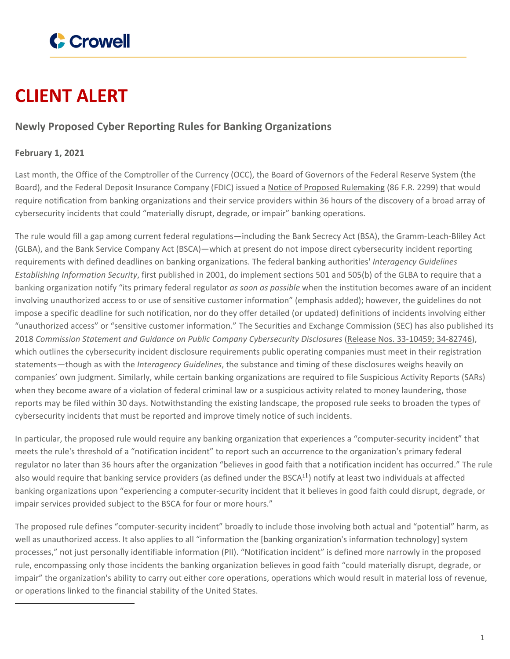

## **CLIENT ALERT**

## **Newly Proposed Cyber Reporting Rules for Banking Organizations**

## **February 1, 2021**

Last month, the Office of the Comptroller of the Currency (OCC), the Board of Governors of the Federal Reserve System (the Board), and the Federal Deposit Insurance Company (FDIC) issued a Notice of Proposed [Rulemaking](https://www.federalregister.gov/documents/2021/01/12/2020-28498/computer-security-incident-notification-requirements-for-banking-organizations-and-their-bank) (86 F.R. 2299) that would require notification from banking organizations and their service providers within 36 hours of the discovery of a broad array of cybersecurity incidents that could "materially disrupt, degrade, or impair" banking operations.

The rule would fill a gap among current federal regulations—including the Bank Secrecy Act (BSA), the Gramm-Leach-Bliley Act (GLBA), and the Bank Service Company Act (BSCA)—which at present do not impose direct cybersecurity incident reporting requirements with defined deadlines on banking organizations. The federal banking authorities' *Interagency Guidelines Establishing Information Security*, first published in 2001, do implement sections 501 and 505(b) of the GLBA to require that a banking organization notify "its primary federal regulator *as soon as possible* when the institution becomes aware of an incident involving unauthorized access to or use of sensitive customer information" (emphasis added); however, the guidelines do not impose a specific deadline for such notification, nor do they offer detailed (or updated) definitions of incidents involving either "unauthorized access" or "sensitive customer information." The Securities and Exchange Commission (SEC) has also published its 2018 *Commission Statement and Guidance on Public Company Cybersecurity Disclosures* (Release Nos. [33-10459;](https://www.sec.gov/rules/interp/2018/33-10459.pdf) 34-82746), which outlines the cybersecurity incident disclosure requirements public operating companies must meet in their registration statements—though as with the *Interagency Guidelines*, the substance and timing of these disclosures weighs heavily on companies' own judgment. Similarly, while certain banking organizations are required to file Suspicious Activity Reports (SARs) when they become aware of a violation of federal criminal law or a suspicious activity related to money laundering, those reports may be filed within 30 days. Notwithstanding the existing landscape, the proposed rule seeks to broaden the types of cybersecurity incidents that must be reported and improve timely notice of such incidents.

In particular, the proposed rule would require any banking organization that experiences a "computer-security incident" that meets the rule's threshold of a "notification incident" to report such an occurrence to the organization's primary federal regulator no later than 36 hours after the organization "believes in good faith that a notification incident has occurred." The rule also would require that banking service providers (as defined under the BSCA<sup>1</sup>) notify at least two individuals at affected banking organizations upon "experiencing a computer-security incident that it believes in good faith could disrupt, degrade, or impair services provided subject to the BSCA for four or more hours."

The proposed rule defines "computer-security incident" broadly to include those involving both actual and "potential" harm, as well as unauthorized access. It also applies to all "information the [banking organization's information technology] system processes," not just personally identifiable information (PII). "Notification incident" is defined more narrowly in the proposed rule, encompassing only those incidents the banking organization believes in good faith "could materially disrupt, degrade, or impair" the organization's ability to carry out either core operations, operations which would result in material loss of revenue, or operations linked to the financial stability of the United States.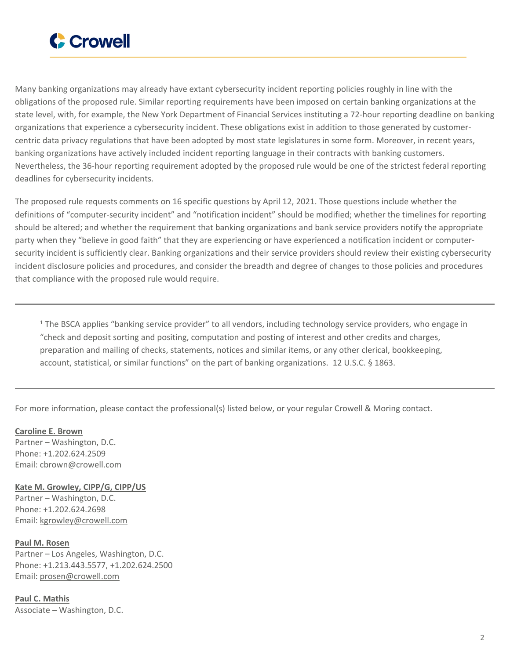

Many banking organizations may already have extant cybersecurity incident reporting policies roughly in line with the obligations of the proposed rule. Similar reporting requirements have been imposed on certain banking organizations at the state level, with, for example, the New York Department of Financial Services instituting a 72-hour reporting deadline on banking organizations that experience a cybersecurity incident. These obligations exist in addition to those generated by customercentric data privacy regulations that have been adopted by most state legislatures in some form. Moreover, in recent years, banking organizations have actively included incident reporting language in their contracts with banking customers. Nevertheless, the 36-hour reporting requirement adopted by the proposed rule would be one of the strictest federal reporting deadlines for cybersecurity incidents.

The proposed rule requests comments on 16 specific questions by April 12, 2021. Those questions include whether the definitions of "computer-security incident" and "notification incident" should be modified; whether the timelines for reporting should be altered; and whether the requirement that banking organizations and bank service providers notify the appropriate party when they "believe in good faith" that they are experiencing or have experienced a notification incident or computersecurity incident is sufficiently clear. Banking organizations and their service providers should review their existing cybersecurity incident disclosure policies and procedures, and consider the breadth and degree of changes to those policies and procedures that compliance with the proposed rule would require.

<sup>1</sup> The BSCA applies "banking service provider" to all vendors, including technology service providers, who engage in "check and deposit sorting and positing, computation and posting of interest and other credits and charges, preparation and mailing of checks, statements, notices and similar items, or any other clerical, bookkeeping, account, statistical, or similar functions" on the part of banking organizations. 12 U.S.C. § 1863.

For more information, please contact the professional(s) listed below, or your regular Crowell & Moring contact.

**[Caroline](https://www.crowell.com/professionals/Caroline-Brown) E. Brown** Partner – Washington, D.C. Phone: +1.202.624.2509 Email: [cbrown@crowell.com](mailto:cbrown@crowell.com)

**Kate M. [Growley,](https://www.crowell.com/professionals/Kate-Growley) CIPP/G, CIPP/US**

Partner – Washington, D.C. Phone: +1.202.624.2698 Email: [kgrowley@crowell.com](mailto:kgrowley@crowell.com)

**Paul M. [Rosen](https://www.crowell.com/professionals/Paul-Rosen)** Partner – Los Angeles, Washington, D.C. Phone: +1.213.443.5577, +1.202.624.2500 Email: [prosen@crowell.com](mailto:prosen@crowell.com)

**Paul C. [Mathis](https://www.crowell.com/professionals/Paul-C-Mathis)** Associate – Washington, D.C.